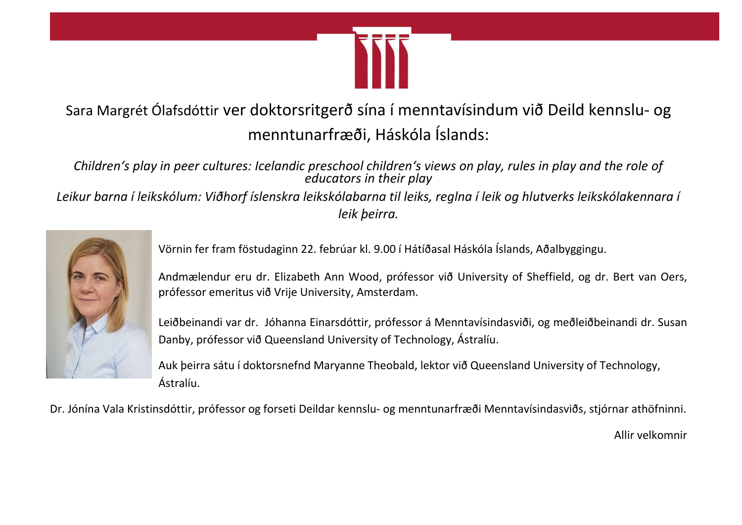

## Sara Margrét Ólafsdóttir ver doktorsritgerð sína í menntavísindum við Deild kennslu- og menntunarfræði, Háskóla Íslands:

*Children's play in peer cultures: Icelandic preschool children's views on play, rules in play and the role of educators in their play*

*Leikur barna í leikskólum: Viðhorf íslenskra leikskólabarna til leiks, reglna í leik og hlutverks leikskólakennara í leik þeirra.*



Vörnin fer fram föstudaginn 22. febrúar kl. 9.00 í Hátíðasal Háskóla Íslands, Aðalbyggingu.

Andmælendur eru dr. Elizabeth Ann Wood, prófessor við University of Sheffield, og dr. Bert van Oers, prófessor emeritus við Vrije University, Amsterdam.

Leiðbeinandi var dr. Jóhanna Einarsdóttir, prófessor á Menntavísindasviði, og meðleiðbeinandi dr. Susan Danby, prófessor við Queensland University of Technology, Ástralíu.

Auk þeirra sátu í doktorsnefnd Maryanne Theobald, lektor við Queensland University of Technology, Ástralíu.

Dr. Jónína Vala Kristinsdóttir, prófessor og forseti Deildar kennslu- og menntunarfræði Menntavísindasviðs, stjórnar athöfninni.

Allir velkomnir